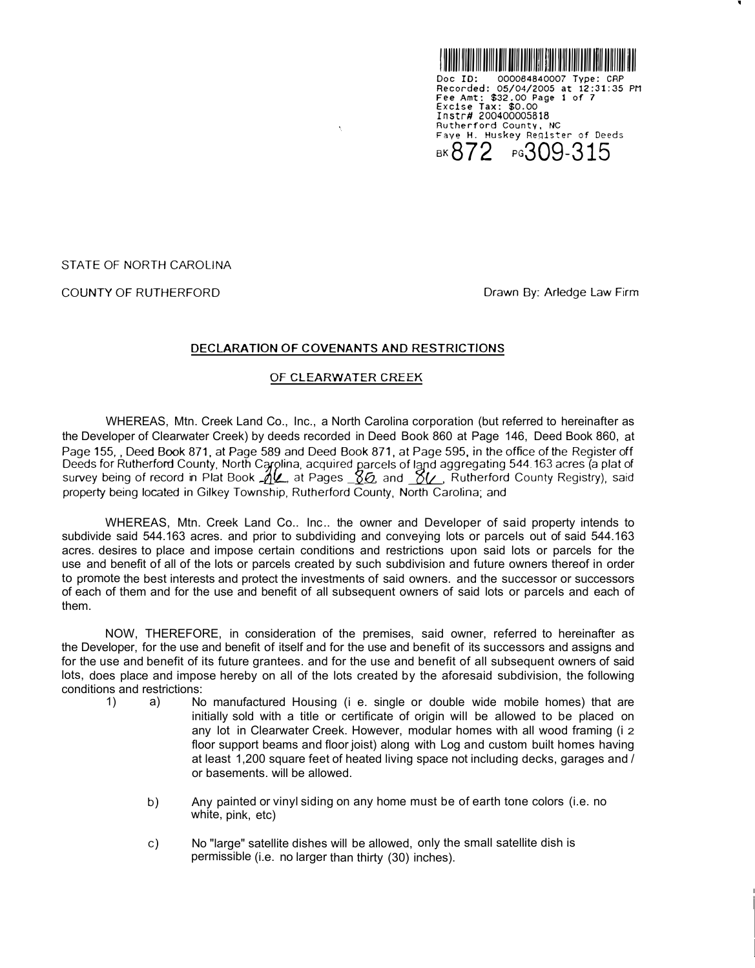

STATE OF NORTH CAROLINA

COUNTY OF RUTHERFORD **Drawn By: Arledge Law Firm** 

## **DECLARATION OF COVENANTS AND RESTRICTIONS**

 $\tilde{\mathcal{N}}$ 

## OF **CLEARWATER** CREEK

WHEREAS, Mtn. Creek Land Co., Inc., a North Carolina corporation (but referred to hereinafter as the Developer of Clearwater Creek) by deeds recorded in Deed Book 860 at Page 146, Deed Book 860, at Page 155, , Deed Book 871, at Page 589 and Deed Book 871, at Page 595, in the office of the Register off Deeds for Rutherford County, North Carolina, acquired parcels of *--1L(L\_\_* Deeds for Rutherford County, North Carolina, acquired parcels of land aggregating 544.163 acres (a plat of<br>survey being of record in Plat Book <u>"A.</u>..., at Pages <u>"...&</u> and "........, Rutherford County Registry), said *,* Rutherford County Registry), said property being located in Gilkey Township, Rutherford County, North Carolina; and

WHEREAS, Mtn. Creek Land Co.. Inc.. the owner and Developer of said property intends to subdivide said 544.163 acres. and prior to subdividing and conveying lots or parcels out of said 544.163 acres. desires to place and impose certain conditions and restrictions upon said lots or parcels for the use and benefit of all of the lots or parcels created by such subdivision and future owners thereof in order to promote the best interests and protect the investments of said owners. and the successor or successors of each of them and for the use and benefit of all subsequent owners of said lots or parcels and each of them.

NOW, THEREFORE, in consideration of the premises, said owner, referred to hereinafter as the Developer, for the use and benefit of itself and for the use and benefit of its successors and assigns and for the use and benefit of its future grantees. and for the use and benefit of all subsequent owners of said lots, does place and impose hereby on all of the lots created by the aforesaid subdivision, the following conditions and restrictions:<br>1) a) No

- 1) a) No manufactured Housing (i e. single or double wide mobile homes) that are initially sold with a title or certificate of origin will be allowed to be placed on any lot in Clearwater Creek. However, modular homes with all wood framing (i 2 floor support beams and floor joist) along with Log and custom built homes having at least 1,200 square feet of heated living space not including decks, garages and / or basements. will be allowed.
	- b) Any painted or vinyl siding on any home must be of earth tone colors (i.e. no white, pink, etc)
	- c) No "large" satellite dishes will be allowed, only the small satellite dish is permissible (i.e. no larger than thirty (30) inches).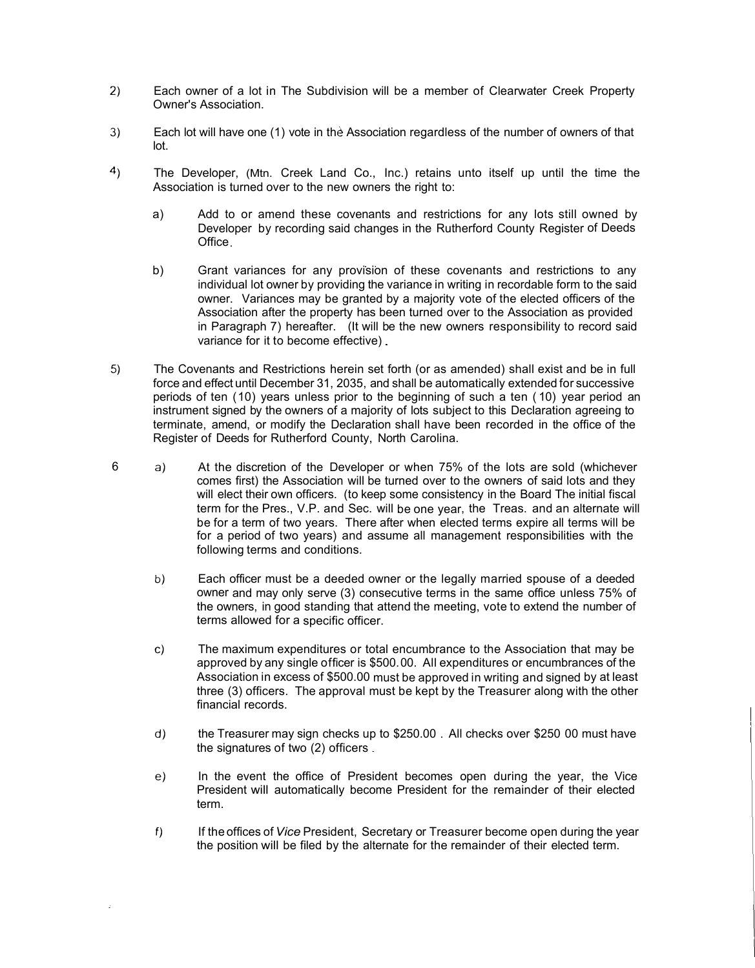- 2) Each owner of a lot in The Subdivision will be a member of Clearwater Creek Property Owner's Association.
- 3) Each lot will have one (1) vote in the Association regardless of the number of owners of that lot.
- 4) The Developer, (Mtn. Creek Land Co., Inc.) retains unto itself up until the time the Association is turned over to the new owners the right to:
	- a) Add to or amend these covenants and restrictions for any lots still owned by Developer by recording said changes in the Rutherford County Register of Deeds **Office**
	- b) Grant variances for any provision of these covenants and restrictions to any individual lot owner by providing the variance in writing in recordable form to the said owner. Variances may be granted by a majority vote of the elected officers of the Association after the property has been turned over to the Association as provided in Paragraph 7) hereafter. (It will be the new owners responsibility to record said variance for it to become effective)
- 5) The Covenants and Restrictions herein set forth (or as amended) shall exist and be in full force and effect until December 31, 2035, and shall be automatically extended for successive periods of ten ( 10) years unless prior to the beginning of such a ten ( 10) year period an instrument signed by the owners of a majority of lots subject to this Declaration agreeing to terminate, amend, or modify the Declaration shall have been recorded in the office of the Register of Deeds for Rutherford County, North Carolina.
- 6 a) At the discretion of the Developer or when 75% of the lots are sold (whichever comes first) the Association will be turned over to the owners of said lots and they will elect their own officers. (to keep some consistency in the Board The initial fiscal term for the Pres., V.P. and Sec. will be one year, the Treas. and an alternate will be for a term of two years. There after when elected terms expire all terms will be for a period of two years) and assume all management responsibilities with the following terms and conditions.
	- b) Each officer must be a deeded owner or the legally married spouse of a deeded owner and may only serve (3) consecutive terms in the same office unless 75% of the owners, in good standing that attend the meeting, vote to extend the number of terms allowed for a specific officer.
	- c) The maximum expenditures or total encumbrance to the Association that may be approved by any single officer is \$500. 00. All expenditures or encumbrances of the Association in excess of \$500.00 must be approved in writing and signed by at least three (3) officers. The approval must be kept by the Treasurer along with the other financial records.
	- d) the Treasurer may sign checks up to \$250.00 All checks over \$250 00 must have the signatures of two (2) officers
	- e) In the event the office of President becomes open during the year, the Vice President will automatically become President for the remainder of their elected term.
	- f) If the offices of *Vice* President, Secretary or Treasurer become open during the year the position will be filed by the alternate for the remainder of their elected term.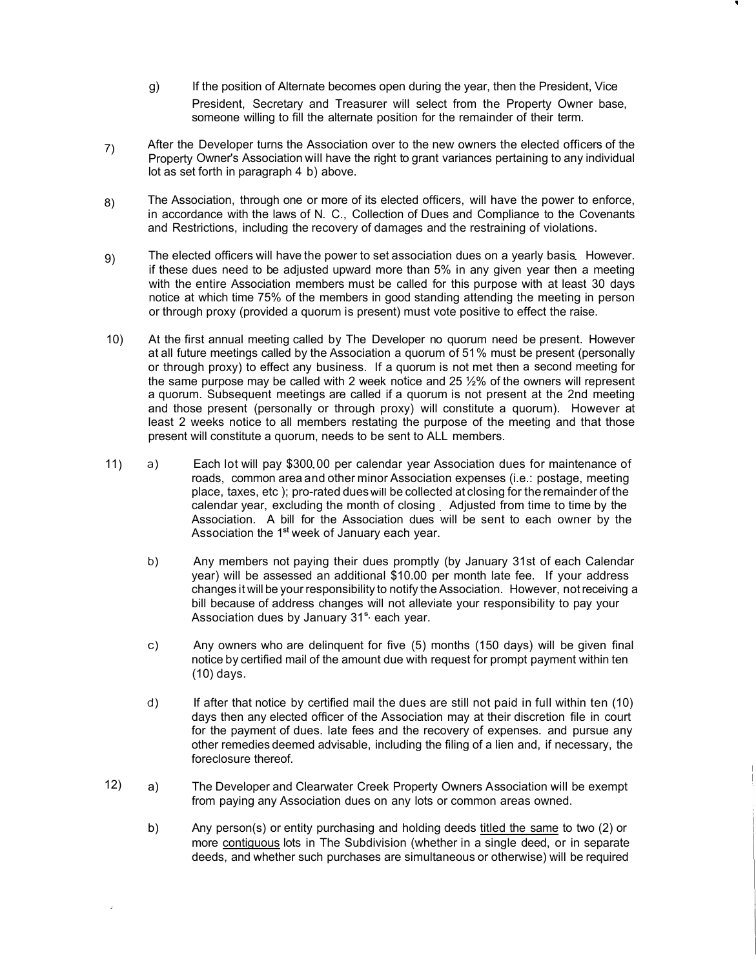- President, Secretary and Treasurer will select from the Property Owner base, someone willing to fill the alternate position for the remainder of their term. g) If the position of Alternate becomes open during the year, then the President, Vice
- 7) After the Developer turns the Association over to the new owners the elected officers of the Property Owner's Association will have the right to grant variances pertaining to any individual lot as set forth in paragraph 4 b) above.
- 8) The Association, through one or more of its elected officers, will have the power to enforce, in accordance with the laws of N. C., Collection of Dues and Compliance to the Covenants and Restrictions, including the recovery of damages and the restraining of violations.
- 9) The elected officers will have the power to set association dues on a yearly basis However. if these dues need to be adjusted upward more than 5% in any given year then a meeting with the entire Association members must be called for this purpose with at least 30 days notice at which time 75% of the members in good standing attending the meeting in person or through proxy (provided a quorum is present) must vote positive to effect the raise.
- 10) At the first annual meeting called by The Developer no quorum need be present. However at all future meetings called by the Association a quorum of 51% must be present (personally or through proxy) to effect any business. If a quorum is not met then a second meeting for the same purpose may be called with 2 week notice and 25 ½% of the owners will represent a quorum. Subsequent meetings are called if a quorum is not present at the 2nd meeting and those present (personally or through proxy) will constitute a quorum). However at least 2 weeks notice to all members restating the purpose of the meeting and that those present will constitute a quorum, needs to be sent to ALL members.
- 11) a) Each lot will pay \$300 00 per calendar year Association dues for maintenance of roads, common area andother minor Association expenses (i.e.: postage, meeting place, taxes, etc ); pro-rated dues will be collected at closing for theremainder of the calendar year, excluding the month of closing Adjusted from time to time by the Association. A bill for the Association dues will be sent to each owner by the Association the 1 **st** week of January each year.
	- b) Any members not paying their dues promptly (by January 31st of each Calendar year) will be assessed an additional \$10.00 per month late fee. If your address changes it will be your responsibility to notify the Association. However, not receiving a bill because of address changes will not alleviate your responsibility to pay your Association dues by January 31<sup>s,</sup> each year.
	- c) Any owners who are delinquent for five (5) months (150 days) will be given final notice by certified mail of the amount due with request for prompt payment within ten (10) days.
	- d) If after that notice by certified mail the dues are still not paid in full within ten (10) days then any elected officer of the Association may at their discretion file in court for the payment of dues. late fees and the recovery of expenses. and pursue any other remedies deemed advisable, including the filing of a lien and, if necessary, the foreclosure thereof.
- 12) a) The Developer and Clearwater Creek Property Owners Association will be exempt from paying any Association dues on any lots or common areas owned.
	- b) Any person(s) or entity purchasing and holding deeds titled the same to two (2) or more contiguous lots in The Subdivision (whether in a single deed, or in separate deeds, and whether such purchases are simultaneous or otherwise) will be required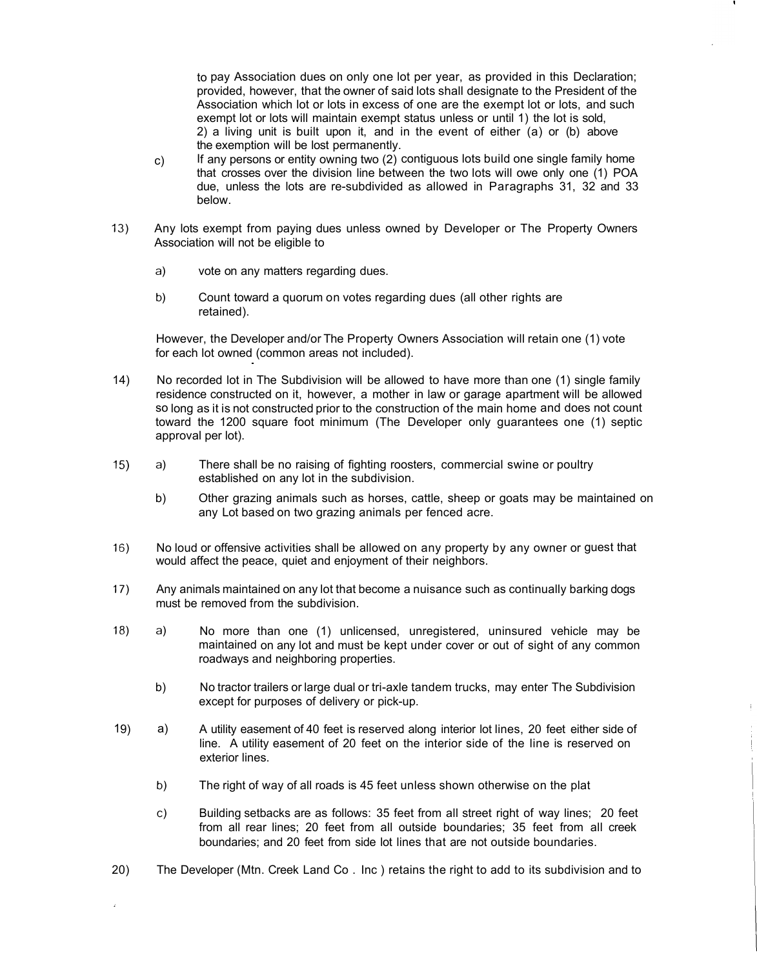to pay Association dues on only one lot per year, as provided in this Declaration; provided, however, that the owner of said lots shall designate to the President of the Association which lot or lots in excess of one are the exempt lot or lots, and such exempt lot or lots will maintain exempt status unless or until 1) the lot is sold, 2) a living unit is built upon it, and in the event of either (a) or (b) above the exemption will be lost permanently.

- c) If any persons or entity owning two (2) contiguous lots build one single family home that crosses over the division line between the two lots will owe only one (1) POA due, unless the lots are re-subdivided as allowed in Paragraphs 31, 32 and 33 below.
- 13) Any lots exempt from paying dues unless owned by Developer or The Property Owners Association will not be eligible to
	- a) vote on any matters regarding dues.
	- b) Count toward a quorum on votes regarding dues (all other rights are retained).

However, the Developer and/or The Property Owners Association will retain one (1) vote for each lot owned (common areas not included).

- 14) No recorded lot in The Subdivision will be allowed to have more than one (1) single family residence constructed on it, however, a mother in law or garage apartment will be allowed so long as it is not constructed prior to the construction of the main home and does not count toward the 1200 square foot minimum (The Developer only guarantees one (1) septic approval per lot).
- 15) a) There shall be no raising of fighting roosters, commercial swine or poultry established on any lot in the subdivision.
	- b) Other grazing animals such as horses, cattle, sheep or goats may be maintained on any Lot based on two grazing animals per fenced acre.
- 16) No loud or offensive activities shall be allowed on any property by any owner or guest that would affect the peace, quiet and enjoyment of their neighbors.
- 17) Any animals maintained on any lot that become a nuisance such as continually barking dogs must be removed from the subdivision.
- 18) a) No more than one (1) unlicensed, unregistered, uninsured vehicle may be maintained on any lot and must be kept under cover or out of sight of any common roadways and neighboring properties.
	- b) No tractor trailers or large dual or tri-axle tandem trucks, may enter The Subdivision except for purposes of delivery or pick-up.
- 19) a) A utility easement of 40 feet is reserved along interior lot lines, 20 feet either side of line. A utility easement of 20 feet on the interior side of the line is reserved on exterior lines.
	- b) The right of way of all roads is 45 feet unless shown otherwise on the plat
	- c) Building setbacks are as follows: 35 feet from all street right of way lines; 20 feet from all rear lines; 20 feet from all outside boundaries; 35 feet from all creek boundaries; and 20 feet from side lot lines that are not outside boundaries.
- 20) The Developer (Mtn. Creek Land Co . Inc ) retains the right to add to its subdivision and to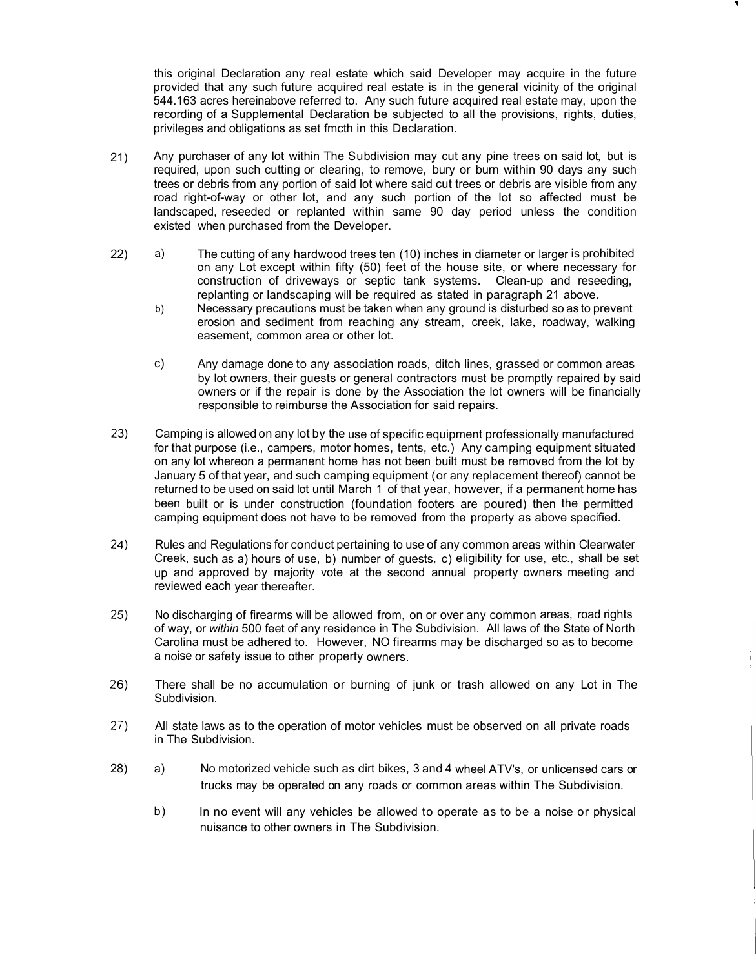this original Declaration any real estate which said Developer may acquire in the future provided that any such future acquired real estate is in the general vicinity of the original 544.163 acres hereinabove referred to. Any such future acquired real estate may, upon the recording of a Supplemental Declaration be subjected to all the provisions, rights, duties, privileges and obligations as set fmcth in this Declaration.

- 21) Any purchaser of any lot within The Subdivision may cut any pine trees on said lot, but is required, upon such cutting or clearing, to remove, bury or burn within 90 days any such trees or debris from any portion of said lot where said cut trees or debris are visible from any road right-of-way or other lot, and any such portion of the lot so affected must be landscaped, reseeded or replanted within same 90 day period unless the condition existed when purchased from the Developer.
- 22) a) The cutting of any hardwood trees ten (10) inches in diameter or larger is prohibited on any Lot except within fifty (50) feet of the house site, or where necessary for construction of driveways or septic tank systems. Clean-up and reseeding, replanting or landscaping will be required as stated in paragraph 21 above.
	- b) Necessary precautions must be taken when any ground is disturbed so as to prevent erosion and sediment from reaching any stream, creek, lake, roadway, walking easement, common area or other lot.
	- c) Any damage done to any association roads, ditch lines, grassed or common areas by lot owners, their guests or general contractors must be promptly repaired by said owners or if the repair is done by the Association the lot owners will be financially responsible to reimburse the Association for said repairs.
- 23) Camping is allowed on any lot by the use of specific equipment professionally manufactured for that purpose (i.e., campers, motor homes, tents, etc.) Any camping equipment situated on any lot whereon a permanent home has not been built must be removed from the lot by January 5 of that year, and such camping equipment ( or any replacement thereof) cannot be returned to be used on said lot until March 1 of that year, however, if a permanent home has been built or is under construction (foundation footers are poured) then the permitted camping equipment does not have to be removed from the property as above specified.
- 24) Rules and Regulations for conduct pertaining to use of any common areas within Clearwater Creek, such as a) hours of use, b) number of guests, c) eligibility for use, etc., shall be set up and approved by majority vote at the second annual property owners meeting and reviewed each year thereafter.
- 25) No discharging of firearms will be allowed from, on or over any common areas, road rights of way, or *within* 500 feet of any residence in The Subdivision. All laws of the State of North Carolina must be adhered to. However, NO firearms may be discharged so as to become a noise or safety issue to other property owners.
- 26) There shall be no accumulation or burning of junk or trash allowed on any Lot in The Subdivision.
- 27) All state laws as to the operation of motor vehicles must be observed on all private roads in The Subdivision.
- 28) a) No motorized vehicle such as dirt bikes, 3 and 4 wheel A TV's, or unlicensed cars or trucks may be operated on any roads or common areas within The Subdivision.
	- b) In no event will any vehicles be allowed to operate as to be a noise or physical nuisance to other owners in The Subdivision.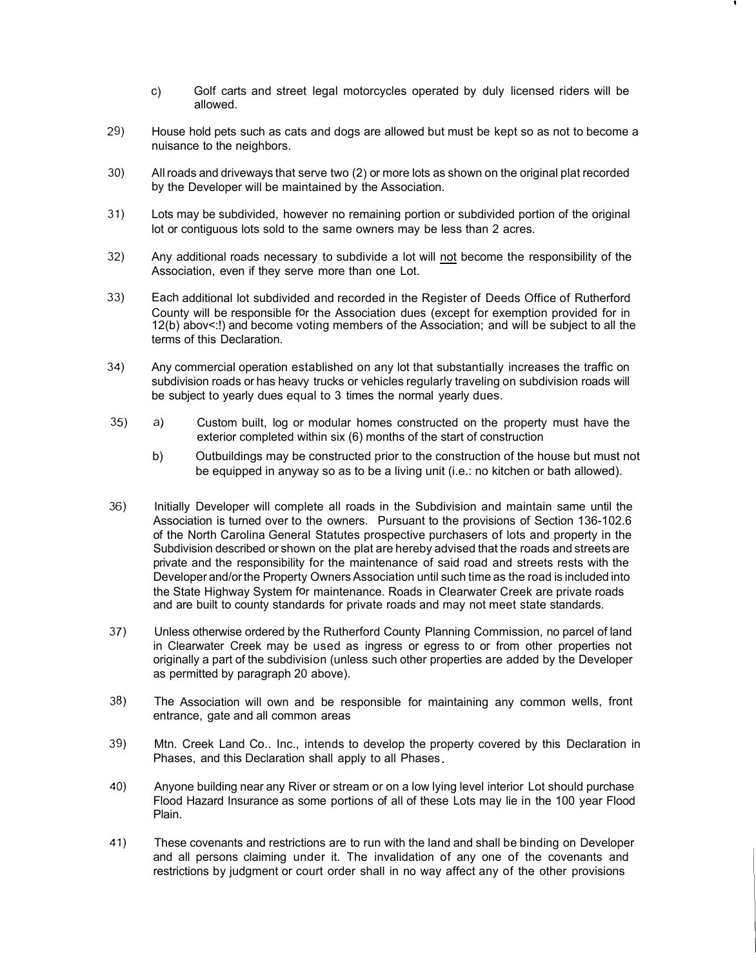- c) Golf carts and street legal motorcycles operated by duly licensed riders will be allowed.
- 29) House hold pets such as cats and dogs are allowed but must be kept so as not to become a nuisance to the neighbors.
- 30) All roads and driveways that serve two (2) or more lots as shown on the original plat recorded by the Developer will be maintained by the Association.
- 31) Lots may be subdivided, however no remaining portion or subdivided portion of the original lot or contiguous lots sold to the same owners may be less than 2 acres.
- 32) Any additional roads necessary to subdivide a lot will not become the responsibility of the Association, even if they serve more than one Lot.
- 33) Each additional lot subdivided and recorded in the Register of Deeds Office of Rutherford County will be responsible for the Association dues (except for exemption provided for in 12(b) abov<:!) and become voting members of the Association; and will be subject to all the terms of this Declaration.
- 34) Any commercial operation established on any lot that substantially increases the traffic on subdivision roads or has heavy trucks or vehicles regularly traveling on subdivision roads will be subject to yearly dues equal to 3 times the normal yearly dues.
- 35) a) Custom built, log or modular homes constructed on the property must have the exterior completed within six (6) months of the start of construction
	- b) Outbuildings may be constructed prior to the construction of the house but must not be equipped in anyway so as to be a living unit (i.e.: no kitchen or bath allowed).
- 36) Initially Developer will complete all roads in the Subdivision and maintain same until the Association is turned over to the owners. Pursuant to the provisions of Section 136-102.6 of the North Carolina General Statutes prospective purchasers of lots and property in the Subdivision described or shown on the plat are hereby advised that the roads and streets are private and the responsibility for the maintenance of said road and streets rests with the Developer and/or the Property Owners Association until such time as the road is included into the State Highway System for maintenance. Roads in Clearwater Creek are private roads and are built to county standards for private roads and may not meet state standards.
- 37) Unless otherwise ordered by the Rutherford County Planning Commission, no parcel of land in Clearwater Creek may be used as ingress or egress to or from other properties not originally a part of the subdivision (unless such other properties are added by the Developer as permitted by paragraph 20 above).
- 38) The Association will own and be responsible for maintaining any common wells, front entrance, gate and all common areas
- 39) Mtn. Creek Land Co., Inc., intends to develop the property covered by this Declaration in Phases, and this Declaration shall apply to all Phases
- 40) Anyone building near any River or stream or on a low lying level interior Lot should purchase Flood Hazard Insurance as some portions of all of these Lots may lie in the 100 year Flood Plain.
- 41) These covenants and restrictions are to run with the land and shall be binding on Developer and all persons claiming under it. The invalidation of any one of the covenants and restrictions by judgment or court order shall in no way affect any of the other provisions